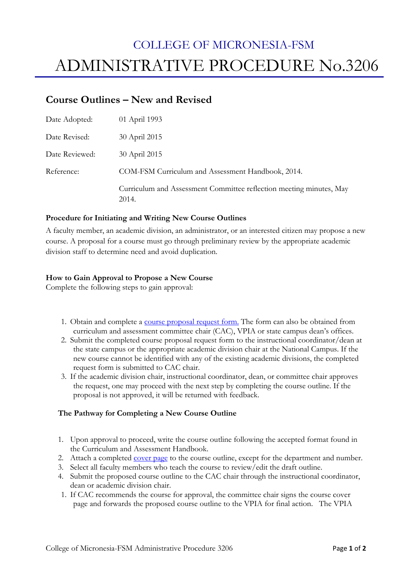# COLLEGE OF MICRONESIA-FSM ADMINISTRATIVE PROCEDURE No.3206

## **Course Outlines – New and Revised**

| Date Adopted:  | 01 April 1993                                                                |
|----------------|------------------------------------------------------------------------------|
| Date Revised:  | 30 April 2015                                                                |
| Date Reviewed: | 30 April 2015                                                                |
| Reference:     | COM-FSM Curriculum and Assessment Handbook, 2014.                            |
|                | Curriculum and Assessment Committee reflection meeting minutes, May<br>2014. |

### **Procedure for Initiating and Writing New Course Outlines**

A faculty member, an academic division, an administrator, or an interested citizen may propose a new course. A proposal for a course must go through preliminary review by the appropriate academic division staff to determine need and avoid duplication.

### **How to Gain Approval to Propose a New Course**

Complete the following steps to gain approval:

- 1. Obtain and complete a course proposal request form. The form can also be obtained from curriculum and assessment committee chair (CAC), VPIA or state campus dean's offices.
- 2. Submit the completed course proposal request form to the instructional coordinator/dean at the state campus or the appropriate academic division chair at the National Campus. If the new course cannot be identified with any of the existing academic divisions, the completed request form is submitted to CAC chair.
- 3. If the academic division chair, instructional coordinator, dean, or committee chair approves the request, one may proceed with the next step by completing the course outline. If the proposal is not approved, it will be returned with feedback.

### **The Pathway for Completing a New Course Outline**

- 1. Upon approval to proceed, write the course outline following the accepted format found in the Curriculum and Assessment Handbook.
- 2. Attach a completed cover page to the course outline, except for the department and number.
- 3. Select all faculty members who teach the course to review/edit the draft outline.
- 4. Submit the proposed course outline to the CAC chair through the instructional coordinator, dean or academic division chair.
- 1. If CAC recommends the course for approval, the committee chair signs the course cover page and forwards the proposed course outline to the VPIA for final action. The VPIA